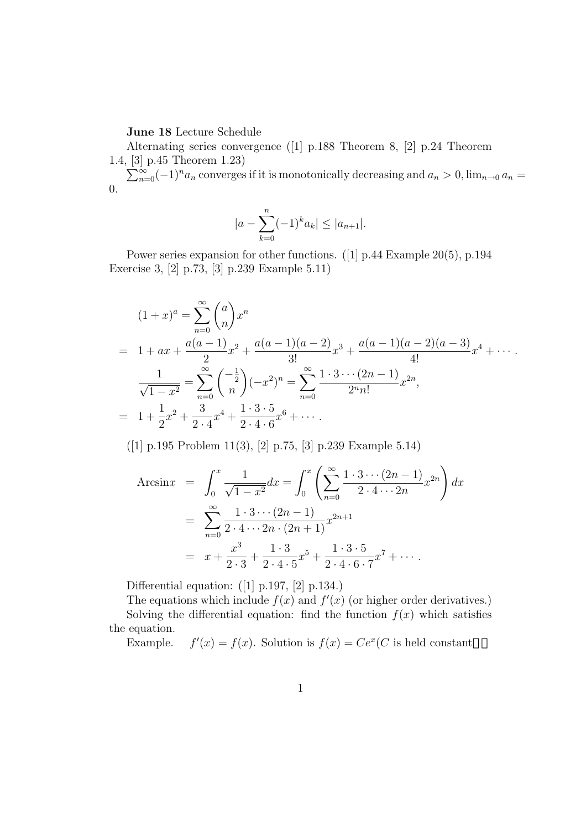**June 18** Lecture Schedule

Alternating series convergence ([1] p.188 Theorem 8, [2] p.24 Theorem 1.4, [3] p.45 Theorem 1.23)

 $\sum_{n=0}^{\infty}(-1)^n a_n$  converges if it is monotonically decreasing and  $a_n > 0$ ,  $\lim_{n\to 0} a_n =$ 0.

$$
|a - \sum_{k=0}^{n} (-1)^{k} a_k| \le |a_{n+1}|.
$$

Power series expansion for other functions. ([1] p.44 Example 20(5), p.194 Exercise 3, [2] p.73, [3] p.239 Example 5.11)

$$
(1+x)^a = \sum_{n=0}^{\infty} {a \choose n} x^n
$$
  
=  $1 + ax + \frac{a(a-1)}{2}x^2 + \frac{a(a-1)(a-2)}{3!}x^3 + \frac{a(a-1)(a-2)(a-3)}{4!}x^4 + \cdots$   

$$
\frac{1}{\sqrt{1-x^2}} = \sum_{n=0}^{\infty} {\binom{-\frac{1}{2}}{n}} (-x^2)^n = \sum_{n=0}^{\infty} \frac{1 \cdot 3 \cdots (2n-1)}{2^n n!} x^{2n},
$$
  
=  $1 + \frac{1}{2}x^2 + \frac{3}{2 \cdot 4}x^4 + \frac{1 \cdot 3 \cdot 5}{2 \cdot 4 \cdot 6}x^6 + \cdots$ 

([1] p.195 Problem 11(3), [2] p.75, [3] p.239 Example 5.14)

$$
\begin{aligned}\n\text{Arcsin}x &= \int_0^x \frac{1}{\sqrt{1-x^2}} dx = \int_0^x \left( \sum_{n=0}^\infty \frac{1 \cdot 3 \cdots (2n-1)}{2 \cdot 4 \cdots 2n} x^{2n} \right) dx \\
&= \sum_{n=0}^\infty \frac{1 \cdot 3 \cdots (2n-1)}{2 \cdot 4 \cdots 2n \cdot (2n+1)} x^{2n+1} \\
&= x + \frac{x^3}{2 \cdot 3} + \frac{1 \cdot 3}{2 \cdot 4 \cdot 5} x^5 + \frac{1 \cdot 3 \cdot 5}{2 \cdot 4 \cdot 6 \cdot 7} x^7 + \cdots\n\end{aligned}
$$

Differential equation: ([1] p.197, [2] p.134.)

The equations which include  $f(x)$  and  $f'(x)$  (or higher order derivatives.) Solving the differential equation: find the function  $f(x)$  which satisfies the equation.

Example. *f*  $f(x) = f(x)$ . Solution is  $f(x) = Ce^{x}(C)$  is held constant